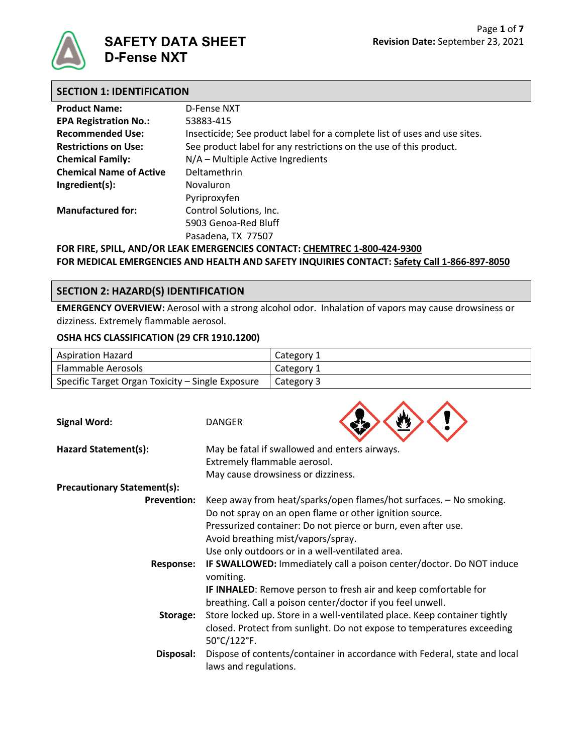

#### **SECTION 1: IDENTIFICATION**

| <b>Product Name:</b>                                                      | D-Fense NXT                                                               |  |  |
|---------------------------------------------------------------------------|---------------------------------------------------------------------------|--|--|
| <b>EPA Registration No.:</b>                                              | 53883-415                                                                 |  |  |
| <b>Recommended Use:</b>                                                   | Insecticide; See product label for a complete list of uses and use sites. |  |  |
| <b>Restrictions on Use:</b>                                               | See product label for any restrictions on the use of this product.        |  |  |
| <b>Chemical Family:</b>                                                   | N/A - Multiple Active Ingredients                                         |  |  |
| <b>Chemical Name of Active</b>                                            | Deltamethrin                                                              |  |  |
| Ingredient(s):                                                            | Novaluron                                                                 |  |  |
|                                                                           | Pyriproxyfen                                                              |  |  |
| <b>Manufactured for:</b>                                                  | Control Solutions, Inc.                                                   |  |  |
|                                                                           | 5903 Genoa-Red Bluff                                                      |  |  |
|                                                                           | Pasadena, TX 77507                                                        |  |  |
| FOR FIRE, SPILL, AND/OR LEAK EMERGENCIES CONTACT: CHEMTREC 1-800-424-9300 |                                                                           |  |  |

**FOR MEDICAL EMERGENCIES AND HEALTH AND SAFETY INQUIRIES CONTACT: Safety Call 1-866-897-8050**

## **SECTION 2: HAZARD(S) IDENTIFICATION**

**EMERGENCY OVERVIEW:** Aerosol with a strong alcohol odor. Inhalation of vapors may cause drowsiness or dizziness. Extremely flammable aerosol.

#### **OSHA HCS CLASSIFICATION (29 CFR 1910.1200)**

| Aspiration Hazard                                | Category 1 |
|--------------------------------------------------|------------|
| Flammable Aerosols                               | Category 1 |
| Specific Target Organ Toxicity - Single Exposure | Category 3 |

 $\land$   $\land$   $\land$ 

| <b>Signal Word:</b>                | <b>DANGER</b>                                                                                                                                                                                  |
|------------------------------------|------------------------------------------------------------------------------------------------------------------------------------------------------------------------------------------------|
| Hazard Statement(s):               | May be fatal if swallowed and enters airways.<br>Extremely flammable aerosol.<br>May cause drowsiness or dizziness.                                                                            |
| <b>Precautionary Statement(s):</b> |                                                                                                                                                                                                |
| <b>Prevention:</b>                 | Keep away from heat/sparks/open flames/hot surfaces. - No smoking.<br>Do not spray on an open flame or other ignition source.<br>Pressurized container: Do not pierce or burn, even after use. |
|                                    | Avoid breathing mist/vapors/spray.                                                                                                                                                             |
|                                    |                                                                                                                                                                                                |
|                                    | Use only outdoors or in a well-ventilated area.                                                                                                                                                |
| <b>Response:</b>                   | IF SWALLOWED: Immediately call a poison center/doctor. Do NOT induce<br>vomiting.                                                                                                              |
|                                    | <b>IF INHALED:</b> Remove person to fresh air and keep comfortable for<br>breathing. Call a poison center/doctor if you feel unwell.                                                           |
| Storage:                           | Store locked up. Store in a well-ventilated place. Keep container tightly<br>closed. Protect from sunlight. Do not expose to temperatures exceeding                                            |
|                                    | 50°C/122°F.                                                                                                                                                                                    |
| Disposal:                          | Dispose of contents/container in accordance with Federal, state and local<br>laws and regulations.                                                                                             |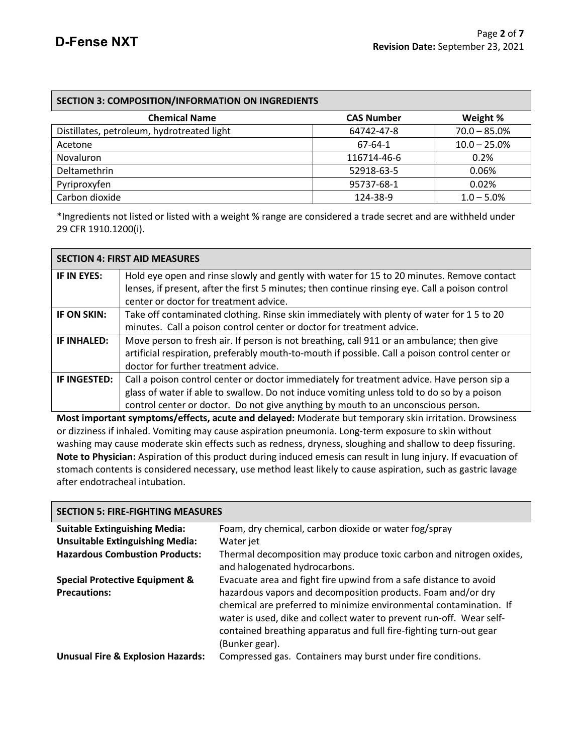| <b>SECTION 3: COMPOSITION/INFORMATION ON INGREDIENTS</b> |                   |                 |  |
|----------------------------------------------------------|-------------------|-----------------|--|
| <b>Chemical Name</b>                                     | <b>CAS Number</b> | Weight %        |  |
| Distillates, petroleum, hydrotreated light               | 64742-47-8        | $70.0 - 85.0\%$ |  |
| Acetone                                                  | 67-64-1           | $10.0 - 25.0%$  |  |
| <b>Novaluron</b>                                         | 116714-46-6       | 0.2%            |  |
| Deltamethrin                                             | 52918-63-5        | 0.06%           |  |
| Pyriproxyfen                                             | 95737-68-1        | 0.02%           |  |
| Carbon dioxide                                           | 124-38-9          | $1.0 - 5.0\%$   |  |

\*Ingredients not listed or listed with a weight % range are considered a trade secret and are withheld under 29 CFR 1910.1200(i).

|                    | <b>SECTION 4: FIRST AID MEASURES</b>                                                                                                                                                                                                                                          |
|--------------------|-------------------------------------------------------------------------------------------------------------------------------------------------------------------------------------------------------------------------------------------------------------------------------|
| IF IN EYES:        | Hold eye open and rinse slowly and gently with water for 15 to 20 minutes. Remove contact<br>lenses, if present, after the first 5 minutes; then continue rinsing eye. Call a poison control                                                                                  |
|                    | center or doctor for treatment advice.                                                                                                                                                                                                                                        |
| IF ON SKIN:        | Take off contaminated clothing. Rinse skin immediately with plenty of water for 15 to 20<br>minutes. Call a poison control center or doctor for treatment advice.                                                                                                             |
| <b>IF INHALED:</b> | Move person to fresh air. If person is not breathing, call 911 or an ambulance; then give<br>artificial respiration, preferably mouth-to-mouth if possible. Call a poison control center or<br>doctor for further treatment advice.                                           |
| IF INGESTED:       | Call a poison control center or doctor immediately for treatment advice. Have person sip a<br>glass of water if able to swallow. Do not induce vomiting unless told to do so by a poison<br>control center or doctor. Do not give anything by mouth to an unconscious person. |

**Most important symptoms/effects, acute and delayed:** Moderate but temporary skin irritation. Drowsiness or dizziness if inhaled. Vomiting may cause aspiration pneumonia. Long-term exposure to skin without washing may cause moderate skin effects such as redness, dryness, sloughing and shallow to deep fissuring. **Note to Physician:** Aspiration of this product during induced emesis can result in lung injury. If evacuation of stomach contents is considered necessary, use method least likely to cause aspiration, such as gastric lavage after endotracheal intubation.

| <b>SECTION 5: FIRE-FIGHTING MEASURES</b>     |                                                                                                                                                                                                                                                                                                    |  |  |
|----------------------------------------------|----------------------------------------------------------------------------------------------------------------------------------------------------------------------------------------------------------------------------------------------------------------------------------------------------|--|--|
| <b>Suitable Extinguishing Media:</b>         | Foam, dry chemical, carbon dioxide or water fog/spray                                                                                                                                                                                                                                              |  |  |
| <b>Unsuitable Extinguishing Media:</b>       | Water jet                                                                                                                                                                                                                                                                                          |  |  |
| <b>Hazardous Combustion Products:</b>        | Thermal decomposition may produce toxic carbon and nitrogen oxides,<br>and halogenated hydrocarbons.                                                                                                                                                                                               |  |  |
| <b>Special Protective Equipment &amp;</b>    | Evacuate area and fight fire upwind from a safe distance to avoid                                                                                                                                                                                                                                  |  |  |
| <b>Precautions:</b>                          | hazardous vapors and decomposition products. Foam and/or dry<br>chemical are preferred to minimize environmental contamination. If<br>water is used, dike and collect water to prevent run-off. Wear self-<br>contained breathing apparatus and full fire-fighting turn-out gear<br>(Bunker gear). |  |  |
| <b>Unusual Fire &amp; Explosion Hazards:</b> | Compressed gas. Containers may burst under fire conditions.                                                                                                                                                                                                                                        |  |  |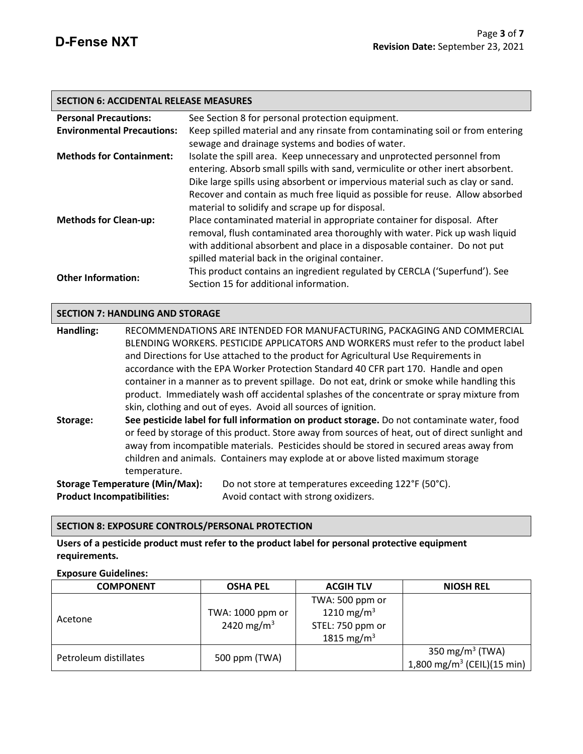#### **SECTION 6: ACCIDENTAL RELEASE MEASURES**

| <b>Personal Precautions:</b>      | See Section 8 for personal protection equipment.                                                                                                                                                                                                                                                                                                                                 |
|-----------------------------------|----------------------------------------------------------------------------------------------------------------------------------------------------------------------------------------------------------------------------------------------------------------------------------------------------------------------------------------------------------------------------------|
| <b>Environmental Precautions:</b> | Keep spilled material and any rinsate from contaminating soil or from entering                                                                                                                                                                                                                                                                                                   |
|                                   | sewage and drainage systems and bodies of water.                                                                                                                                                                                                                                                                                                                                 |
| <b>Methods for Containment:</b>   | Isolate the spill area. Keep unnecessary and unprotected personnel from<br>entering. Absorb small spills with sand, vermiculite or other inert absorbent.<br>Dike large spills using absorbent or impervious material such as clay or sand.<br>Recover and contain as much free liquid as possible for reuse. Allow absorbed<br>material to solidify and scrape up for disposal. |
| <b>Methods for Clean-up:</b>      | Place contaminated material in appropriate container for disposal. After<br>removal, flush contaminated area thoroughly with water. Pick up wash liquid<br>with additional absorbent and place in a disposable container. Do not put<br>spilled material back in the original container.                                                                                         |
| <b>Other Information:</b>         | This product contains an ingredient regulated by CERCLA ('Superfund'). See<br>Section 15 for additional information.                                                                                                                                                                                                                                                             |

### **SECTION 7: HANDLING AND STORAGE**

| Handling:                                                      | RECOMMENDATIONS ARE INTENDED FOR MANUFACTURING, PACKAGING AND COMMERCIAL |                                                                                                 |  |  |  |
|----------------------------------------------------------------|--------------------------------------------------------------------------|-------------------------------------------------------------------------------------------------|--|--|--|
|                                                                |                                                                          | BLENDING WORKERS. PESTICIDE APPLICATORS AND WORKERS must refer to the product label             |  |  |  |
|                                                                |                                                                          | and Directions for Use attached to the product for Agricultural Use Requirements in             |  |  |  |
|                                                                |                                                                          | accordance with the EPA Worker Protection Standard 40 CFR part 170. Handle and open             |  |  |  |
|                                                                |                                                                          | container in a manner as to prevent spillage. Do not eat, drink or smoke while handling this    |  |  |  |
|                                                                |                                                                          | product. Immediately wash off accidental splashes of the concentrate or spray mixture from      |  |  |  |
| skin, clothing and out of eyes. Avoid all sources of ignition. |                                                                          |                                                                                                 |  |  |  |
| Storage:                                                       |                                                                          | See pesticide label for full information on product storage. Do not contaminate water, food     |  |  |  |
|                                                                |                                                                          | or feed by storage of this product. Store away from sources of heat, out of direct sunlight and |  |  |  |
|                                                                |                                                                          | away from incompatible materials. Pesticides should be stored in secured areas away from        |  |  |  |
|                                                                |                                                                          | children and animals. Containers may explode at or above listed maximum storage                 |  |  |  |
|                                                                | temperature.                                                             |                                                                                                 |  |  |  |
|                                                                | <b>Storage Temperature (Min/Max):</b>                                    | Do not store at temperatures exceeding 122°F (50°C).                                            |  |  |  |
| <b>Product Incompatibilities:</b>                              |                                                                          | Avoid contact with strong oxidizers.                                                            |  |  |  |

### **SECTION 8: EXPOSURE CONTROLS/PERSONAL PROTECTION**

**Users of a pesticide product must refer to the product label for personal protective equipment requirements.**

#### **Exposure Guidelines:**

| <b>COMPONENT</b>      | <b>OSHA PEL</b>                            | <b>ACGIH TLV</b>                                                                        | <b>NIOSH REL</b>                                                      |
|-----------------------|--------------------------------------------|-----------------------------------------------------------------------------------------|-----------------------------------------------------------------------|
| Acetone               | TWA: 1000 ppm or<br>2420 mg/m <sup>3</sup> | TWA: 500 ppm or<br>1210 mg/m <sup>3</sup><br>STEL: 750 ppm or<br>1815 mg/m <sup>3</sup> |                                                                       |
| Petroleum distillates | 500 ppm (TWA)                              |                                                                                         | 350 mg/m <sup>3</sup> (TWA)<br>1,800 mg/m <sup>3</sup> (CEIL)(15 min) |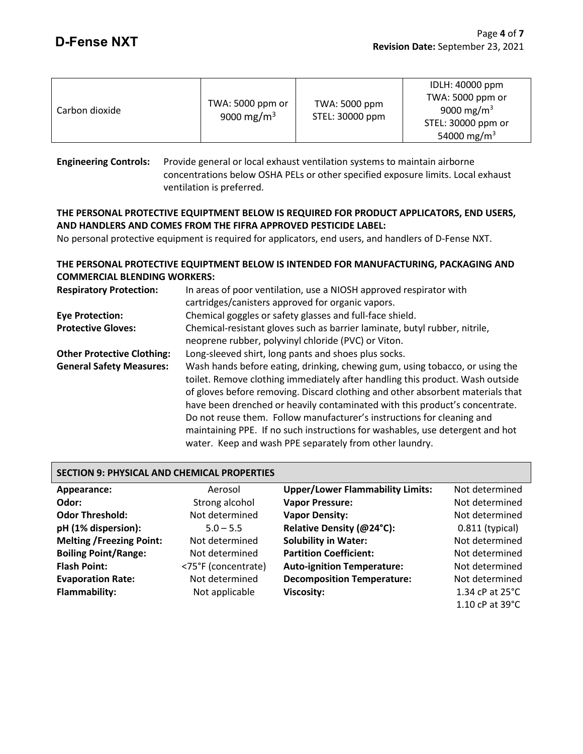| Carbon dioxide | TWA: 5000 ppm or<br>9000 mg/m <sup>3</sup> | TWA: 5000 ppm<br>STEL: 30000 ppm | IDLH: 40000 ppm<br>TWA: 5000 ppm or<br>9000 mg/m <sup>3</sup><br>STEL: 30000 ppm or<br>54000 mg/m <sup>3</sup> |
|----------------|--------------------------------------------|----------------------------------|----------------------------------------------------------------------------------------------------------------|
|----------------|--------------------------------------------|----------------------------------|----------------------------------------------------------------------------------------------------------------|

**Engineering Controls:** Provide general or local exhaust ventilation systems to maintain airborne concentrations below OSHA PELs or other specified exposure limits. Local exhaust ventilation is preferred.

# **THE PERSONAL PROTECTIVE EQUIPTMENT BELOW IS REQUIRED FOR PRODUCT APPLICATORS, END USERS, AND HANDLERS AND COMES FROM THE FIFRA APPROVED PESTICIDE LABEL:**

No personal protective equipment is required for applicators, end users, and handlers of D-Fense NXT.

# **THE PERSONAL PROTECTIVE EQUIPTMENT BELOW IS INTENDED FOR MANUFACTURING, PACKAGING AND COMMERCIAL BLENDING WORKERS:**

| <b>Respiratory Protection:</b>    | In areas of poor ventilation, use a NIOSH approved respirator with                                                                                                                                                                                                                                                                                                                                                                                                                                                                                   |  |  |  |  |
|-----------------------------------|------------------------------------------------------------------------------------------------------------------------------------------------------------------------------------------------------------------------------------------------------------------------------------------------------------------------------------------------------------------------------------------------------------------------------------------------------------------------------------------------------------------------------------------------------|--|--|--|--|
|                                   | cartridges/canisters approved for organic vapors.                                                                                                                                                                                                                                                                                                                                                                                                                                                                                                    |  |  |  |  |
| <b>Eye Protection:</b>            | Chemical goggles or safety glasses and full-face shield.                                                                                                                                                                                                                                                                                                                                                                                                                                                                                             |  |  |  |  |
| <b>Protective Gloves:</b>         | Chemical-resistant gloves such as barrier laminate, butyl rubber, nitrile,<br>neoprene rubber, polyvinyl chloride (PVC) or Viton.                                                                                                                                                                                                                                                                                                                                                                                                                    |  |  |  |  |
| <b>Other Protective Clothing:</b> | Long-sleeved shirt, long pants and shoes plus socks.                                                                                                                                                                                                                                                                                                                                                                                                                                                                                                 |  |  |  |  |
| <b>General Safety Measures:</b>   | Wash hands before eating, drinking, chewing gum, using tobacco, or using the<br>toilet. Remove clothing immediately after handling this product. Wash outside<br>of gloves before removing. Discard clothing and other absorbent materials that<br>have been drenched or heavily contaminated with this product's concentrate.<br>Do not reuse them. Follow manufacturer's instructions for cleaning and<br>maintaining PPE. If no such instructions for washables, use detergent and hot<br>water. Keep and wash PPE separately from other laundry. |  |  |  |  |

### **SECTION 9: PHYSICAL AND CHEMICAL PROPERTIES**

| Appearance:                     | Aerosol             | <b>Upper/Lower Flammability Limits:</b> | Not determined              |
|---------------------------------|---------------------|-----------------------------------------|-----------------------------|
| Odor:                           | Strong alcohol      | <b>Vapor Pressure:</b>                  | Not determined              |
| <b>Odor Threshold:</b>          | Not determined      | <b>Vapor Density:</b>                   | Not determined              |
| pH (1% dispersion):             | $5.0 - 5.5$         | Relative Density (@24°C):               | $0.811$ (typical)           |
| <b>Melting /Freezing Point:</b> | Not determined      | <b>Solubility in Water:</b>             | Not determined              |
| <b>Boiling Point/Range:</b>     | Not determined      | <b>Partition Coefficient:</b>           | Not determined              |
| <b>Flash Point:</b>             | <75°F (concentrate) | <b>Auto-ignition Temperature:</b>       | Not determined              |
| <b>Evaporation Rate:</b>        | Not determined      | <b>Decomposition Temperature:</b>       | Not determined              |
| <b>Flammability:</b>            | Not applicable      | <b>Viscosity:</b>                       | 1.34 cP at $25^{\circ}$ C   |
|                                 |                     |                                         | 1.10 $cP$ at 39 $\degree$ C |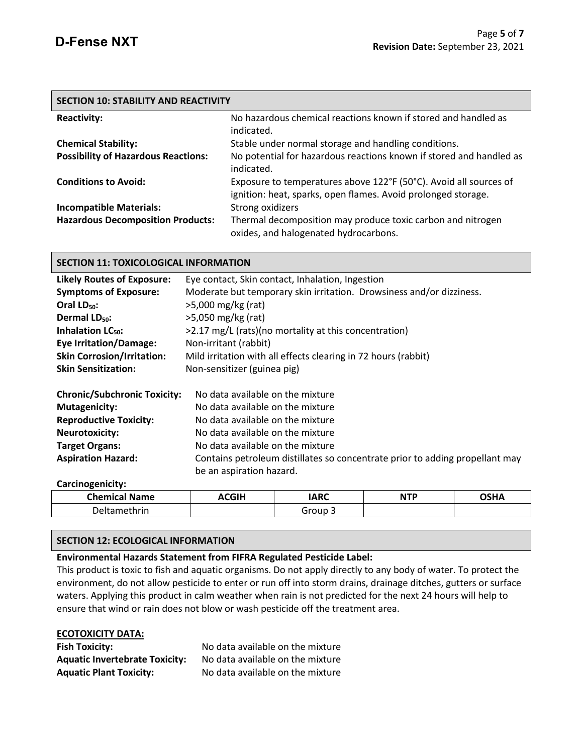# **SECTION 10: STABILITY AND REACTIVITY**

| <b>Reactivity:</b>                         | No hazardous chemical reactions known if stored and handled as<br>indicated.                                                       |
|--------------------------------------------|------------------------------------------------------------------------------------------------------------------------------------|
| <b>Chemical Stability:</b>                 | Stable under normal storage and handling conditions.                                                                               |
| <b>Possibility of Hazardous Reactions:</b> | No potential for hazardous reactions known if stored and handled as<br>indicated.                                                  |
| <b>Conditions to Avoid:</b>                | Exposure to temperatures above 122°F (50°C). Avoid all sources of<br>ignition: heat, sparks, open flames. Avoid prolonged storage. |
| <b>Incompatible Materials:</b>             | Strong oxidizers                                                                                                                   |
| <b>Hazardous Decomposition Products:</b>   | Thermal decomposition may produce toxic carbon and nitrogen<br>oxides, and halogenated hydrocarbons.                               |

# **SECTION 11: TOXICOLOGICAL INFORMATION**

| <b>Likely Routes of Exposure:</b>   | Eye contact, Skin contact, Inhalation, Ingestion                             |
|-------------------------------------|------------------------------------------------------------------------------|
| <b>Symptoms of Exposure:</b>        | Moderate but temporary skin irritation. Drowsiness and/or dizziness.         |
| Oral $LD_{50}$ :                    | $>5,000$ mg/kg (rat)                                                         |
| Dermal LD <sub>50</sub> :           | >5,050 mg/kg (rat)                                                           |
| Inhalation $LC_{50}$ :              | >2.17 mg/L (rats)(no mortality at this concentration)                        |
| <b>Eye Irritation/Damage:</b>       | Non-irritant (rabbit)                                                        |
| <b>Skin Corrosion/Irritation:</b>   | Mild irritation with all effects clearing in 72 hours (rabbit)               |
| <b>Skin Sensitization:</b>          | Non-sensitizer (guinea pig)                                                  |
|                                     |                                                                              |
| <b>Chronic/Subchronic Toxicity:</b> | No data available on the mixture                                             |
| <b>Mutagenicity:</b>                | No data available on the mixture                                             |
| <b>Reproductive Toxicity:</b>       | No data available on the mixture                                             |
| <b>Neurotoxicity:</b>               | No data available on the mixture                                             |
| <b>Target Organs:</b>               | No data available on the mixture                                             |
| <b>Aspiration Hazard:</b>           | Contains petroleum distillates so concentrate prior to adding propellant may |
|                                     | be an aspiration hazard.                                                     |
| Carcinogenicity:                    |                                                                              |

| Chemical Name | ACGIH | <b>IARC</b> | <b>NTP</b> | ∩כ⊔מ |
|---------------|-------|-------------|------------|------|
| וו⊿ר<br>.     |       | iroun       |            |      |

### **SECTION 12: ECOLOGICAL INFORMATION**

# **Environmental Hazards Statement from FIFRA Regulated Pesticide Label:**

This product is toxic to fish and aquatic organisms. Do not apply directly to any body of water. To protect the environment, do not allow pesticide to enter or run off into storm drains, drainage ditches, gutters or surface waters. Applying this product in calm weather when rain is not predicted for the next 24 hours will help to ensure that wind or rain does not blow or wash pesticide off the treatment area.

## **ECOTOXICITY DATA:**

| <b>Fish Toxicity:</b>                 |
|---------------------------------------|
| <b>Aquatic Invertebrate Toxicity:</b> |
| <b>Aquatic Plant Toxicity:</b>        |

**Fish Toxicity:** No data available on the mixture **Aquatic Invertebrate Toxicity:** No data available on the mixture **Aquatic Plant Toxicity:** No data available on the mixture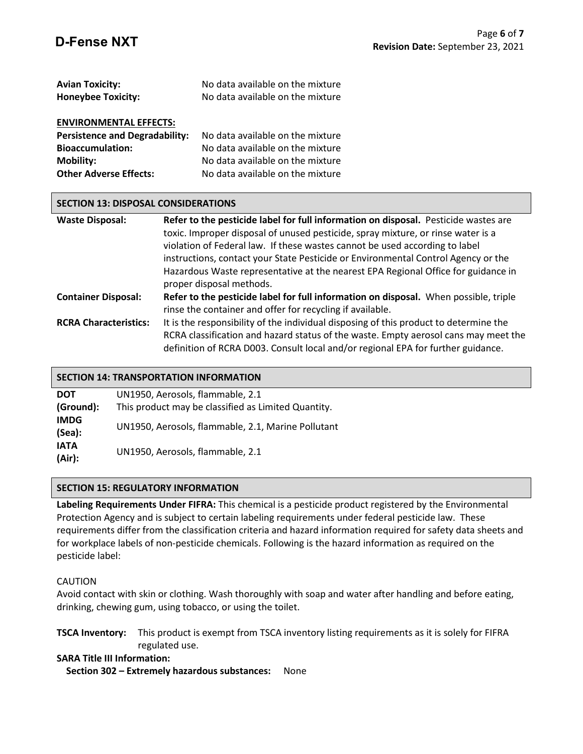| <b>Avian Toxicity:</b>                | No data available on the mixture |  |  |
|---------------------------------------|----------------------------------|--|--|
| <b>Honeybee Toxicity:</b>             | No data available on the mixture |  |  |
| <b>ENVIRONMENTAL EFFECTS:</b>         |                                  |  |  |
| <b>Persistence and Degradability:</b> | No data available on the mixture |  |  |
| <b>Bioaccumulation:</b>               | No data available on the mixture |  |  |
| <b>Mobility:</b>                      | No data available on the mixture |  |  |
| <b>Other Adverse Effects:</b>         | No data available on the mixture |  |  |

# **SECTION 13: DISPOSAL CONSIDERATIONS**

| <b>Waste Disposal:</b>       | Refer to the pesticide label for full information on disposal. Pesticide wastes are                                                                                          |
|------------------------------|------------------------------------------------------------------------------------------------------------------------------------------------------------------------------|
|                              | toxic. Improper disposal of unused pesticide, spray mixture, or rinse water is a                                                                                             |
|                              | violation of Federal law. If these wastes cannot be used according to label                                                                                                  |
|                              | instructions, contact your State Pesticide or Environmental Control Agency or the                                                                                            |
|                              | Hazardous Waste representative at the nearest EPA Regional Office for guidance in                                                                                            |
|                              | proper disposal methods.                                                                                                                                                     |
| <b>Container Disposal:</b>   | Refer to the pesticide label for full information on disposal. When possible, triple                                                                                         |
|                              | rinse the container and offer for recycling if available.                                                                                                                    |
| <b>RCRA Characteristics:</b> | It is the responsibility of the individual disposing of this product to determine the<br>RCRA classification and hazard status of the waste. Empty aerosol cans may meet the |
|                              | definition of RCRA D003. Consult local and/or regional EPA for further guidance.                                                                                             |

| <b>SECTION 14: TRANSPORTATION INFORMATION</b> |                                  |  |
|-----------------------------------------------|----------------------------------|--|
| <b>DOT</b>                                    | UN1950, Aerosols, flammable, 2.1 |  |
|                                               |                                  |  |

| (Ground):             | This product may be classified as Limited Quantity. |
|-----------------------|-----------------------------------------------------|
| <b>IMDG</b><br>(Sea): | UN1950, Aerosols, flammable, 2.1, Marine Pollutant  |
| <b>IATA</b><br>(Air): | UN1950, Aerosols, flammable, 2.1                    |

### **SECTION 15: REGULATORY INFORMATION**

**Labeling Requirements Under FIFRA:** This chemical is a pesticide product registered by the Environmental Protection Agency and is subject to certain labeling requirements under federal pesticide law. These requirements differ from the classification criteria and hazard information required for safety data sheets and for workplace labels of non-pesticide chemicals. Following is the hazard information as required on the pesticide label:

### CAUTION

Avoid contact with skin or clothing. Wash thoroughly with soap and water after handling and before eating, drinking, chewing gum, using tobacco, or using the toilet.

**TSCA Inventory:** This product is exempt from TSCA inventory listing requirements as it is solely for FIFRA regulated use.

#### **SARA Title III Information: Section 302 – Extremely hazardous substances:** None